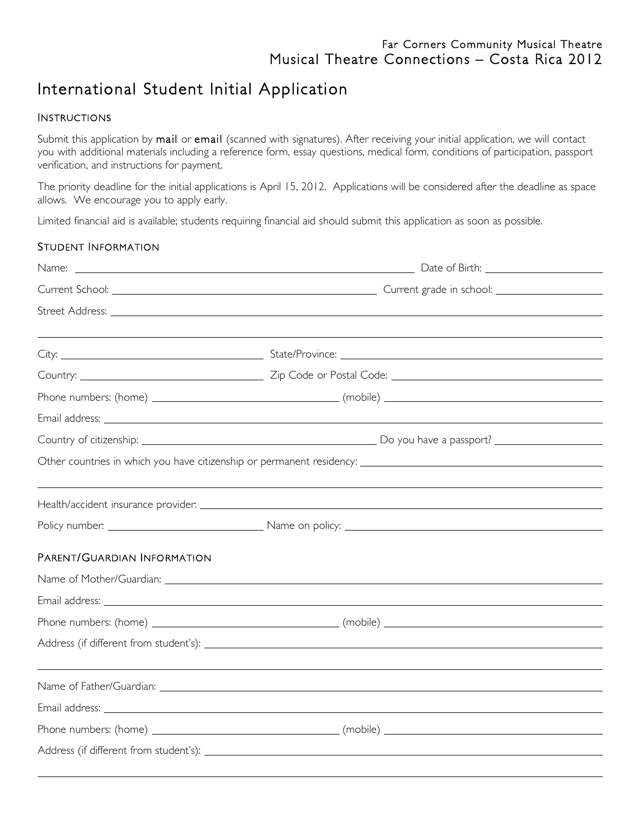# International Student Initial Application

#### INSTRUCTIONS

Submit this application by mail or email (scanned with signatures). After receiving your initial application, we will contact you with additional materials including a reference form, essay questions, medical form, conditions of participation, passport verification, and instructions for payment.

The priority deadline for the initial applications is April 15, 2012. Applications will be considered after the deadline as space allows. We encourage you to apply early.

Limited financial aid is available; students requiring financial aid should submit this application as soon as possible.

#### STUDENT INFORMATION

| PARENT/GUARDIAN INFORMATION |                                                                                                                                                                                                                                      |
|-----------------------------|--------------------------------------------------------------------------------------------------------------------------------------------------------------------------------------------------------------------------------------|
|                             |                                                                                                                                                                                                                                      |
|                             | Email address: <u>example and a series of the series of the series of the series of the series of the series of the series of the series of the series of the series of the series of the series of the series of the series of </u> |
|                             |                                                                                                                                                                                                                                      |
|                             |                                                                                                                                                                                                                                      |
|                             |                                                                                                                                                                                                                                      |
|                             |                                                                                                                                                                                                                                      |
|                             |                                                                                                                                                                                                                                      |
|                             |                                                                                                                                                                                                                                      |
|                             |                                                                                                                                                                                                                                      |
|                             |                                                                                                                                                                                                                                      |